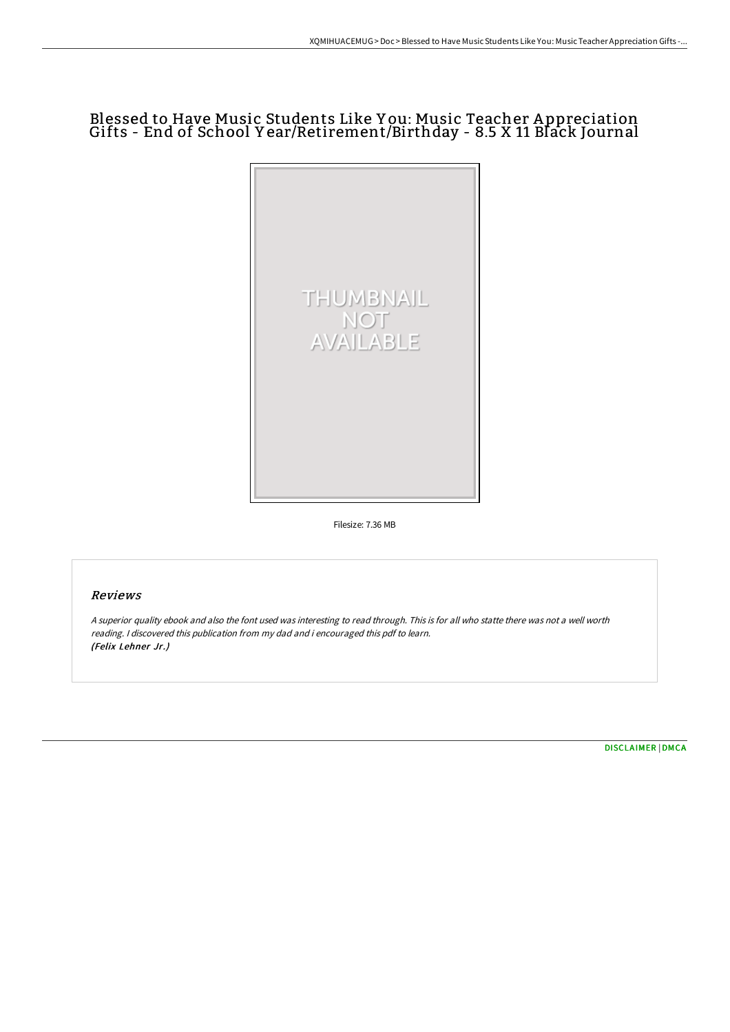## Blessed to Have Music Students Like Y ou: Music Teacher A ppreciation Gifts - End of School Y ear/Retirement/Birthday - 8.5 X 11 Black Journal



Filesize: 7.36 MB

## Reviews

<sup>A</sup> superior quality ebook and also the font used was interesting to read through. This is for all who statte there was not <sup>a</sup> well worth reading. <sup>I</sup> discovered this publication from my dad and i encouraged this pdf to learn. (Felix Lehner Jr.)

[DISCLAIMER](http://techno-pub.tech/disclaimer.html) | [DMCA](http://techno-pub.tech/dmca.html)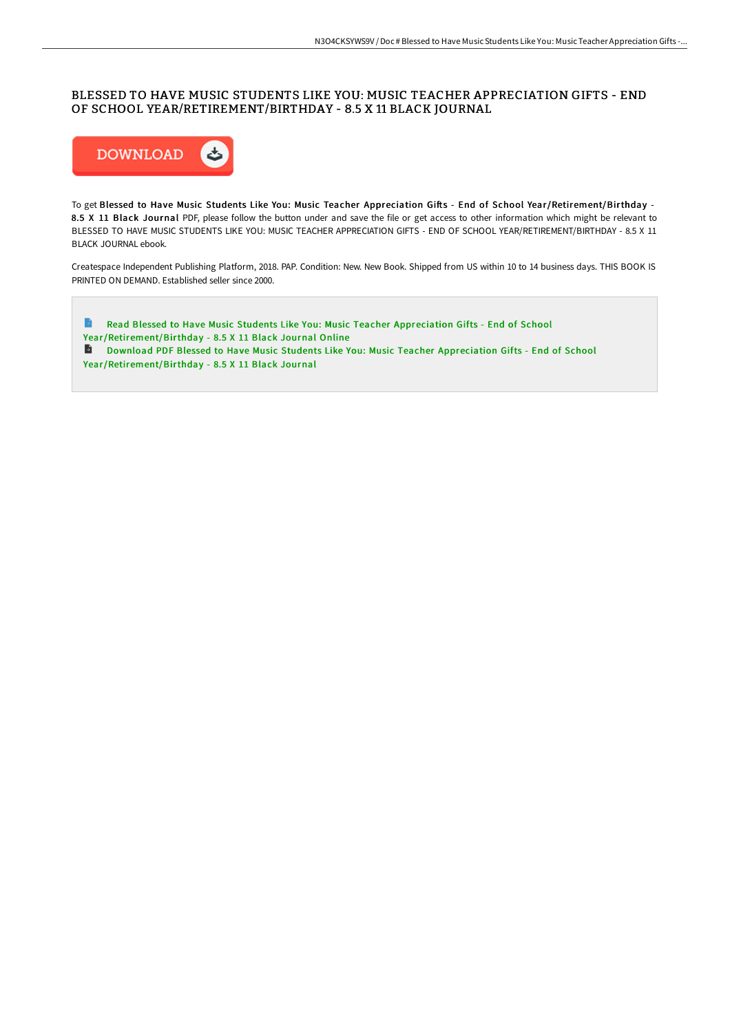## BLESSED TO HAVE MUSIC STUDENTS LIKE YOU: MUSIC TEACHER APPRECIATION GIFTS - END OF SCHOOL YEAR/RETIREMENT/BIRTHDAY - 8.5 X 11 BLACK JOURNAL



To get Blessed to Have Music Students Like You: Music Teacher Appreciation Gifts - End of School Year/Retirement/Birthday -8.5 X 11 Black Journal PDF, please follow the button under and save the file or get access to other information which might be relevant to BLESSED TO HAVE MUSIC STUDENTS LIKE YOU: MUSIC TEACHER APPRECIATION GIFTS - END OF SCHOOL YEAR/RETIREMENT/BIRTHDAY - 8.5 X 11 BLACK JOURNAL ebook.

Createspace Independent Publishing Platform, 2018. PAP. Condition: New. New Book. Shipped from US within 10 to 14 business days. THIS BOOK IS PRINTED ON DEMAND. Established seller since 2000.